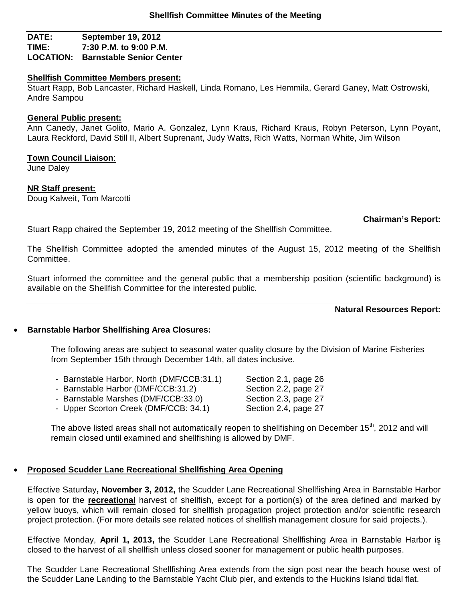## **DATE: September 19, 2012 TIME: 7:30 P.M. to 9:00 P.M. LOCATION: Barnstable Senior Center**

### **Shellfish Committee Members present:**

Stuart Rapp, Bob Lancaster, Richard Haskell, Linda Romano, Les Hemmila, Gerard Ganey, Matt Ostrowski, Andre Sampou

### **General Public present:**

Ann Canedy, Janet Golito, Mario A. Gonzalez, Lynn Kraus, Richard Kraus, Robyn Peterson, Lynn Poyant, Laura Reckford, David Still II, Albert Suprenant, Judy Watts, Rich Watts, Norman White, Jim Wilson

### **Town Council Liaison**:

June Daley

### **NR Staff present:**

Doug Kalweit, Tom Marcotti

**Chairman's Report:**

Stuart Rapp chaired the September 19, 2012 meeting of the Shellfish Committee.

The Shellfish Committee adopted the amended minutes of the August 15, 2012 meeting of the Shellfish Committee.

Stuart informed the committee and the general public that a membership position (scientific background) is available on the Shellfish Committee for the interested public.

## **Natural Resources Report:**

## **Barnstable Harbor Shellfishing Area Closures:**

The following areas are subject to seasonal water quality closure by the Division of Marine Fisheries from September 15th through December 14th, all dates inclusive.

| - Barnstable Harbor, North (DMF/CCB:31.1) |  |
|-------------------------------------------|--|
|-------------------------------------------|--|

- Barnstable Harbor (DMF/CCB:31.2) Section 2.2, page 27
- Barnstable Marshes (DMF/CCB:33.0) Section 2.3, page 27
- Upper Scorton Creek (DMF/CCB: 34.1) Section 2.4, page 27

The above listed areas shall not automatically reopen to shellfishing on December 15<sup>th</sup>, 2012 and will remain closed until examined and shellfishing is allowed by DMF.

## **Proposed Scudder Lane Recreational Shellfishing Area Opening**

Effective Saturday**, November 3, 2012,** the Scudder Lane Recreational Shellfishing Area in Barnstable Harbor is open for the **recreational** harvest of shellfish, except for a portion(s) of the area defined and marked by yellow buoys, which will remain closed for shellfish propagation project protection and/or scientific research project protection. (For more details see related notices of shellfish management closure for said projects.).

1 Effective Monday, **April 1, 2013,** the Scudder Lane Recreational Shellfishing Area in Barnstable Harbor is closed to the harvest of all shellfish unless closed sooner for management or public health purposes.

The Scudder Lane Recreational Shellfishing Area extends from the sign post near the beach house west of the Scudder Lane Landing to the Barnstable Yacht Club pier, and extends to the Huckins Island tidal flat.

Section 2.1, page 26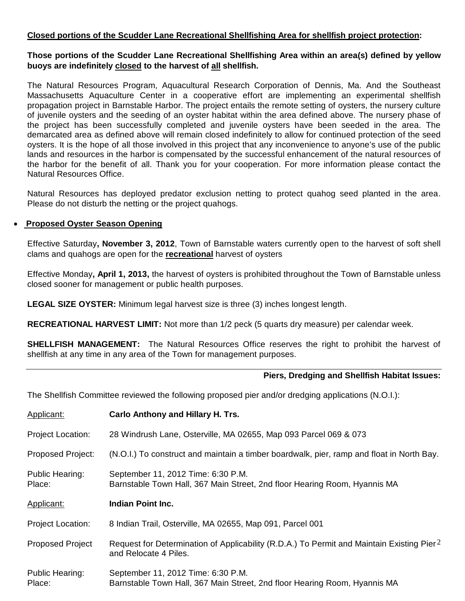# **Closed portions of the Scudder Lane Recreational Shellfishing Area for shellfish project protection:**

## **Those portions of the Scudder Lane Recreational Shellfishing Area within an area(s) defined by yellow buoys are indefinitely closed to the harvest of all shellfish.**

The Natural Resources Program, Aquacultural Research Corporation of Dennis, Ma. And the Southeast Massachusetts Aquaculture Center in a cooperative effort are implementing an experimental shellfish propagation project in Barnstable Harbor. The project entails the remote setting of oysters, the nursery culture of juvenile oysters and the seeding of an oyster habitat within the area defined above. The nursery phase of the project has been successfully completed and juvenile oysters have been seeded in the area. The demarcated area as defined above will remain closed indefinitely to allow for continued protection of the seed oysters. It is the hope of all those involved in this project that any inconvenience to anyone's use of the public lands and resources in the harbor is compensated by the successful enhancement of the natural resources of the harbor for the benefit of all. Thank you for your cooperation. For more information please contact the Natural Resources Office.

Natural Resources has deployed predator exclusion netting to protect quahog seed planted in the area. Please do not disturb the netting or the project quahogs.

## **Proposed Oyster Season Opening**

Effective Saturday**, November 3, 2012**, Town of Barnstable waters currently open to the harvest of soft shell clams and quahogs are open for the **recreational** harvest of oysters

Effective Monday**, April 1, 2013,** the harvest of oysters is prohibited throughout the Town of Barnstable unless closed sooner for management or public health purposes.

**LEGAL SIZE OYSTER:** Minimum legal harvest size is three (3) inches longest length.

**RECREATIONAL HARVEST LIMIT:** Not more than 1/2 peck (5 quarts dry measure) per calendar week.

**SHELLFISH MANAGEMENT:** The Natural Resources Office reserves the right to prohibit the harvest of shellfish at any time in any area of the Town for management purposes.

## **Piers, Dredging and Shellfish Habitat Issues:**

The Shellfish Committee reviewed the following proposed pier and/or dredging applications (N.O.I.):

| Applicant:                       | <b>Carlo Anthony and Hillary H. Trs.</b>                                                                                       |
|----------------------------------|--------------------------------------------------------------------------------------------------------------------------------|
| <b>Project Location:</b>         | 28 Windrush Lane, Osterville, MA 02655, Map 093 Parcel 069 & 073                                                               |
| <b>Proposed Project:</b>         | (N.O.I.) To construct and maintain a timber boardwalk, pier, ramp and float in North Bay.                                      |
| <b>Public Hearing:</b><br>Place: | September 11, 2012 Time: 6:30 P.M.<br>Barnstable Town Hall, 367 Main Street, 2nd floor Hearing Room, Hyannis MA                |
| Applicant:                       | Indian Point Inc.                                                                                                              |
| <b>Project Location:</b>         | 8 Indian Trail, Osterville, MA 02655, Map 091, Parcel 001                                                                      |
| <b>Proposed Project</b>          | Request for Determination of Applicability (R.D.A.) To Permit and Maintain Existing Pier <sup>2</sup><br>and Relocate 4 Piles. |
| <b>Public Hearing:</b><br>Place: | September 11, 2012 Time: 6:30 P.M.<br>Barnstable Town Hall, 367 Main Street, 2nd floor Hearing Room, Hyannis MA                |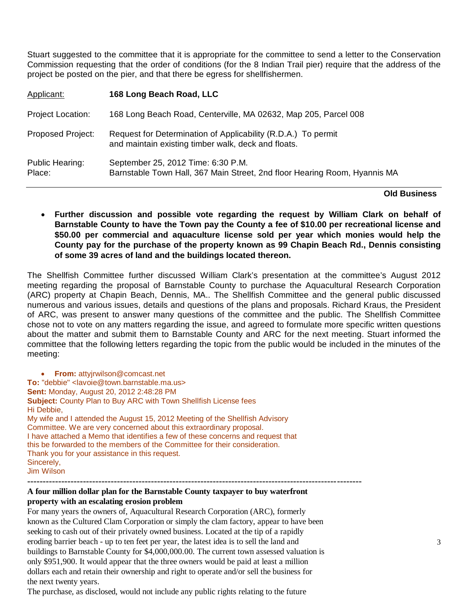Stuart suggested to the committee that it is appropriate for the committee to send a letter to the Conservation Commission requesting that the order of conditions (for the 8 Indian Trail pier) require that the address of the project be posted on the pier, and that there be egress for shellfishermen.

| Applicant:                | 168 Long Beach Road, LLC                                                                                             |
|---------------------------|----------------------------------------------------------------------------------------------------------------------|
| <b>Project Location:</b>  | 168 Long Beach Road, Centerville, MA 02632, Map 205, Parcel 008                                                      |
| <b>Proposed Project:</b>  | Request for Determination of Applicability (R.D.A.) To permit<br>and maintain existing timber walk, deck and floats. |
| Public Hearing:<br>Place: | September 25, 2012 Time: 6:30 P.M.<br>Barnstable Town Hall, 367 Main Street, 2nd floor Hearing Room, Hyannis MA      |

### **Old Business**

 **Further discussion and possible vote regarding the request by William Clark on behalf of Barnstable County to have the Town pay the County a fee of \$10.00 per recreational license and \$50.00 per commercial and aquaculture license sold per year which monies would help the County pay for the purchase of the property known as 99 Chapin Beach Rd., Dennis consisting of some 39 acres of land and the buildings located thereon.**

The Shellfish Committee further discussed William Clark's presentation at the committee's August 2012 meeting regarding the proposal of Barnstable County to purchase the Aquacultural Research Corporation (ARC) property at Chapin Beach, Dennis, MA.. The Shellfish Committee and the general public discussed numerous and various issues, details and questions of the plans and proposals. Richard Kraus, the President of ARC, was present to answer many questions of the committee and the public. The Shellfish Committee chose not to vote on any matters regarding the issue, and agreed to formulate more specific written questions about the matter and submit them to Barnstable County and ARC for the next meeting. Stuart informed the committee that the following letters regarding the topic from the public would be included in the minutes of the meeting:

 **From:** attyjrwilson@comcast.net **To:** "debbie" <lavoie@town.barnstable.ma.us> **Sent:** Monday, August 20, 2012 2:48:28 PM **Subject:** County Plan to Buy ARC with Town Shellfish License fees Hi Debbie, My wife and I attended the August 15, 2012 Meeting of the Shellfish Advisory Committee. We are very concerned about this extraordinary proposal. I have attached a Memo that identifies a few of these concerns and request that this be forwarded to the members of the Committee for their consideration. Thank you for your assistance in this request. Sincerely, Jim Wilson **------------------------------------------------------------------------------------------------------------**

## **A four million dollar plan for the Barnstable County taxpayer to buy waterfront property with an escalating erosion problem**

For many years the owners of, Aquacultural Research Corporation (ARC), formerly known as the Cultured Clam Corporation or simply the clam factory, appear to have been seeking to cash out of their privately owned business. Located at the tip of a rapidly eroding barrier beach - up to ten feet per year, the latest idea is to sell the land and buildings to Barnstable County for \$4,000,000.00. The current town assessed valuation is only \$951,900. It would appear that the three owners would be paid at least a million dollars each and retain their ownership and right to operate and/or sell the business for the next twenty years.

The purchase, as disclosed, would not include any public rights relating to the future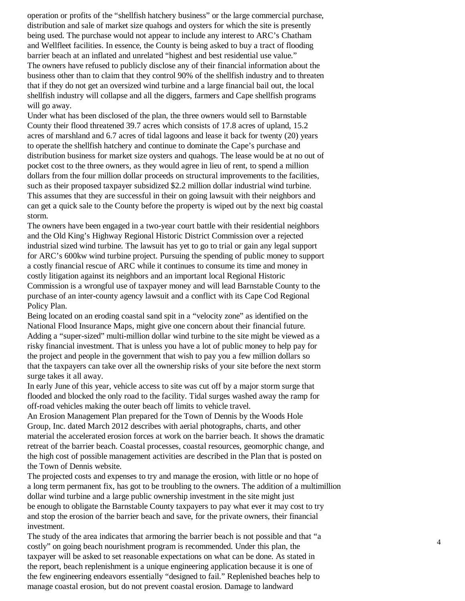operation or profits of the "shellfish hatchery business" or the large commercial purchase, distribution and sale of market size quahogs and oysters for which the site is presently being used. The purchase would not appear to include any interest to ARC's Chatham and Wellfleet facilities. In essence, the County is being asked to buy a tract of flooding barrier beach at an inflated and unrelated "highest and best residential use value." The owners have refused to publicly disclose any of their financial information about the business other than to claim that they control 90% of the shellfish industry and to threaten that if they do not get an oversized wind turbine and a large financial bail out, the local shellfish industry will collapse and all the diggers, farmers and Cape shellfish programs will go away.

Under what has been disclosed of the plan, the three owners would sell to Barnstable County their flood threatened 39.7 acres which consists of 17.8 acres of upland, 15.2 acres of marshland and 6.7 acres of tidal lagoons and lease it back for twenty (20) years to operate the shellfish hatchery and continue to dominate the Cape's purchase and distribution business for market size oysters and quahogs. The lease would be at no out of pocket cost to the three owners, as they would agree in lieu of rent, to spend a million dollars from the four million dollar proceeds on structural improvements to the facilities, such as their proposed taxpayer subsidized \$2.2 million dollar industrial wind turbine. This assumes that they are successful in their on going lawsuit with their neighbors and can get a quick sale to the County before the property is wiped out by the next big coastal storm.

The owners have been engaged in a two-year court battle with their residential neighbors and the Old King's Highway Regional Historic District Commission over a rejected industrial sized wind turbine. The lawsuit has yet to go to trial or gain any legal support for ARC's 600kw wind turbine project. Pursuing the spending of public money to support a costly financial rescue of ARC while it continues to consume its time and money in costly litigation against its neighbors and an important local Regional Historic Commission is a wrongful use of taxpayer money and will lead Barnstable County to the purchase of an inter-county agency lawsuit and a conflict with its Cape Cod Regional Policy Plan.

Being located on an eroding coastal sand spit in a "velocity zone" as identified on the National Flood Insurance Maps, might give one concern about their financial future. Adding a "super-sized" multi-million dollar wind turbine to the site might be viewed as a risky financial investment. That is unless you have a lot of public money to help pay for the project and people in the government that wish to pay you a few million dollars so that the taxpayers can take over all the ownership risks of your site before the next storm surge takes it all away.

In early June of this year, vehicle access to site was cut off by a major storm surge that flooded and blocked the only road to the facility. Tidal surges washed away the ramp for off-road vehicles making the outer beach off limits to vehicle travel.

An Erosion Management Plan prepared for the Town of Dennis by the Woods Hole Group, Inc. dated March 2012 describes with aerial photographs, charts, and other material the accelerated erosion forces at work on the barrier beach. It shows the dramatic retreat of the barrier beach. Coastal processes, coastal resources, geomorphic change, and the high cost of possible management activities are described in the Plan that is posted on the Town of Dennis website.

The projected costs and expenses to try and manage the erosion, with little or no hope of a long term permanent fix, has got to be troubling to the owners. The addition of a multimillion dollar wind turbine and a large public ownership investment in the site might just be enough to obligate the Barnstable County taxpayers to pay what ever it may cost to try and stop the erosion of the barrier beach and save, for the private owners, their financial investment.

The study of the area indicates that armoring the barrier beach is not possible and that "a costly" on going beach nourishment program is recommended. Under this plan, the taxpayer will be asked to set reasonable expectations on what can be done. As stated in the report, beach replenishment is a unique engineering application because it is one of the few engineering endeavors essentially "designed to fail." Replenished beaches help to manage coastal erosion, but do not prevent coastal erosion. Damage to landward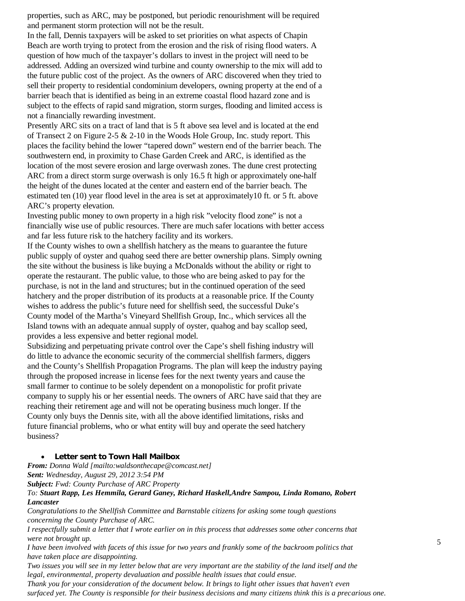properties, such as ARC, may be postponed, but periodic renourishment will be required and permanent storm protection will not be the result.

In the fall, Dennis taxpayers will be asked to set priorities on what aspects of Chapin Beach are worth trying to protect from the erosion and the risk of rising flood waters. A question of how much of the taxpayer's dollars to invest in the project will need to be addressed. Adding an oversized wind turbine and county ownership to the mix will add to the future public cost of the project. As the owners of ARC discovered when they tried to sell their property to residential condominium developers, owning property at the end of a barrier beach that is identified as being in an extreme coastal flood hazard zone and is subject to the effects of rapid sand migration, storm surges, flooding and limited access is not a financially rewarding investment.

Presently ARC sits on a tract of land that is 5 ft above sea level and is located at the end of Transect 2 on Figure 2-5  $\&$  2-10 in the Woods Hole Group, Inc. study report. This places the facility behind the lower "tapered down" western end of the barrier beach. The southwestern end, in proximity to Chase Garden Creek and ARC, is identified as the location of the most severe erosion and large overwash zones. The dune crest protecting ARC from a direct storm surge overwash is only 16.5 ft high or approximately one-half the height of the dunes located at the center and eastern end of the barrier beach. The estimated ten (10) year flood level in the area is set at approximately10 ft. or 5 ft. above ARC's property elevation.

Investing public money to own property in a high risk "velocity flood zone" is not a financially wise use of public resources. There are much safer locations with better access and far less future risk to the hatchery facility and its workers.

If the County wishes to own a shellfish hatchery as the means to guarantee the future public supply of oyster and quahog seed there are better ownership plans. Simply owning the site without the business is like buying a McDonalds without the ability or right to operate the restaurant. The public value, to those who are being asked to pay for the purchase, is not in the land and structures; but in the continued operation of the seed hatchery and the proper distribution of its products at a reasonable price. If the County wishes to address the public's future need for shellfish seed, the successful Duke's County model of the Martha's Vineyard Shellfish Group, Inc., which services all the Island towns with an adequate annual supply of oyster, quahog and bay scallop seed, provides a less expensive and better regional model.

Subsidizing and perpetuating private control over the Cape's shell fishing industry will do little to advance the economic security of the commercial shellfish farmers, diggers and the County's Shellfish Propagation Programs. The plan will keep the industry paying through the proposed increase in license fees for the next twenty years and cause the small farmer to continue to be solely dependent on a monopolistic for profit private company to supply his or her essential needs. The owners of ARC have said that they are reaching their retirement age and will not be operating business much longer. If the County only buys the Dennis site, with all the above identified limitations, risks and future financial problems, who or what entity will buy and operate the seed hatchery business?

#### **Letter sent to Town Hall Mailbox**

*From: Donna Wald [mailto:waldsonthecape@comcast.net] Sent: Wednesday, August 29, 2012 3:54 PM*

*Subject: Fwd: County Purchase of ARC Property*

*To: Stuart Rapp, Les Hemmila, Gerard Ganey, Richard Haskell,Andre Sampou, Linda Romano, Robert Lancaster*

*Congratulations to the Shellfish Committee and Barnstable citizens for asking some tough questions concerning the County Purchase of ARC.*

*I respectfully submit a letter that I wrote earlier on in this process that addresses some other concerns that were not brought up.*

*I have been involved with facets of this issue for two years and frankly some of the backroom politics that have taken place are disappointing.*

*Two issues you will see in my letter below that are very important are the stability of the land itself and the legal, environmental, property devaluation and possible health issues that could ensue. Thank you for your consideration of the document below. It brings to light other issues that haven't even*

*surfaced yet. The County is responsible for their business decisions and many citizens think this is a precarious one.*